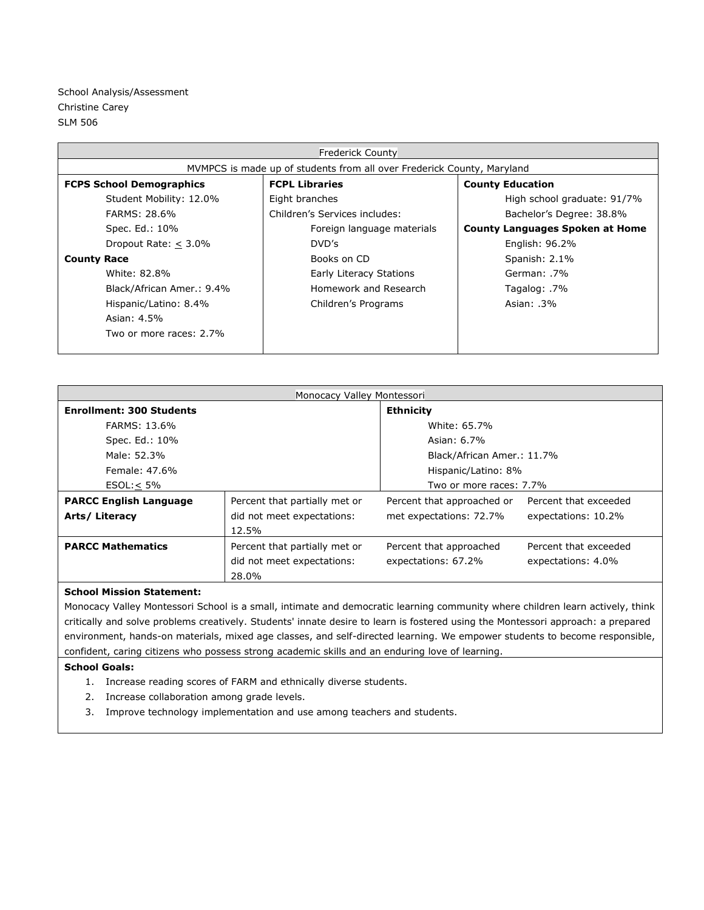| <b>Frederick County</b>                                                |                               |                                        |  |  |
|------------------------------------------------------------------------|-------------------------------|----------------------------------------|--|--|
| MVMPCS is made up of students from all over Frederick County, Maryland |                               |                                        |  |  |
| <b>FCPS School Demographics</b>                                        | <b>FCPL Libraries</b>         | <b>County Education</b>                |  |  |
| Student Mobility: 12.0%                                                | Eight branches                | High school graduate: 91/7%            |  |  |
| FARMS: 28.6%                                                           | Children's Services includes: | Bachelor's Degree: 38.8%               |  |  |
| Spec. Ed.: 10%                                                         | Foreign language materials    | <b>County Languages Spoken at Home</b> |  |  |
| Dropout Rate: $\leq$ 3.0%                                              | DVD's                         | English: 96.2%                         |  |  |
| <b>County Race</b>                                                     | Books on CD                   | Spanish: $2.1\%$                       |  |  |
| White: 82.8%                                                           | Early Literacy Stations       | German: .7%                            |  |  |
| Black/African Amer.: 9.4%                                              | Homework and Research         | Tagalog: .7%                           |  |  |
| Hispanic/Latino: 8.4%                                                  | Children's Programs           | Asian: 3%                              |  |  |
| Asian: 4.5%                                                            |                               |                                        |  |  |
| Two or more races: 2.7%                                                |                               |                                        |  |  |
|                                                                        |                               |                                        |  |  |

| Monocacy Valley Montessori      |                               |                            |                       |  |  |
|---------------------------------|-------------------------------|----------------------------|-----------------------|--|--|
| <b>Enrollment: 300 Students</b> |                               | <b>Ethnicity</b>           |                       |  |  |
| FARMS: 13.6%                    |                               | White: 65.7%               |                       |  |  |
| Spec. Ed.: 10%                  |                               | Asian: 6.7%                |                       |  |  |
| Male: 52.3%                     |                               | Black/African Amer.: 11.7% |                       |  |  |
| Female: 47.6%                   |                               | Hispanic/Latino: 8%        |                       |  |  |
| $ESOL: < 5\%$                   |                               | Two or more races: 7.7%    |                       |  |  |
| <b>PARCC English Language</b>   | Percent that partially met or | Percent that approached or | Percent that exceeded |  |  |
| Arts/ Literacy                  | did not meet expectations:    | met expectations: 72.7%    | expectations: 10.2%   |  |  |
|                                 | 12.5%                         |                            |                       |  |  |
| <b>PARCC Mathematics</b>        | Percent that partially met or | Percent that approached    | Percent that exceeded |  |  |
|                                 | did not meet expectations:    | expectations: 67.2%        | expectations: 4.0%    |  |  |
|                                 | 28.0%                         |                            |                       |  |  |

## **School Mission Statement:**

Monocacy Valley Montessori School is a small, intimate and democratic learning community where children learn actively, think critically and solve problems creatively. Students' innate desire to learn is fostered using the Montessori approach: a prepared environment, hands-on materials, mixed age classes, and self-directed learning. We empower students to become responsible, confident, caring citizens who possess strong academic skills and an enduring love of learning.

## **School Goals:**

- 1. Increase reading scores of FARM and ethnically diverse students.
- 2. Increase collaboration among grade levels.
- 3. Improve technology implementation and use among teachers and students.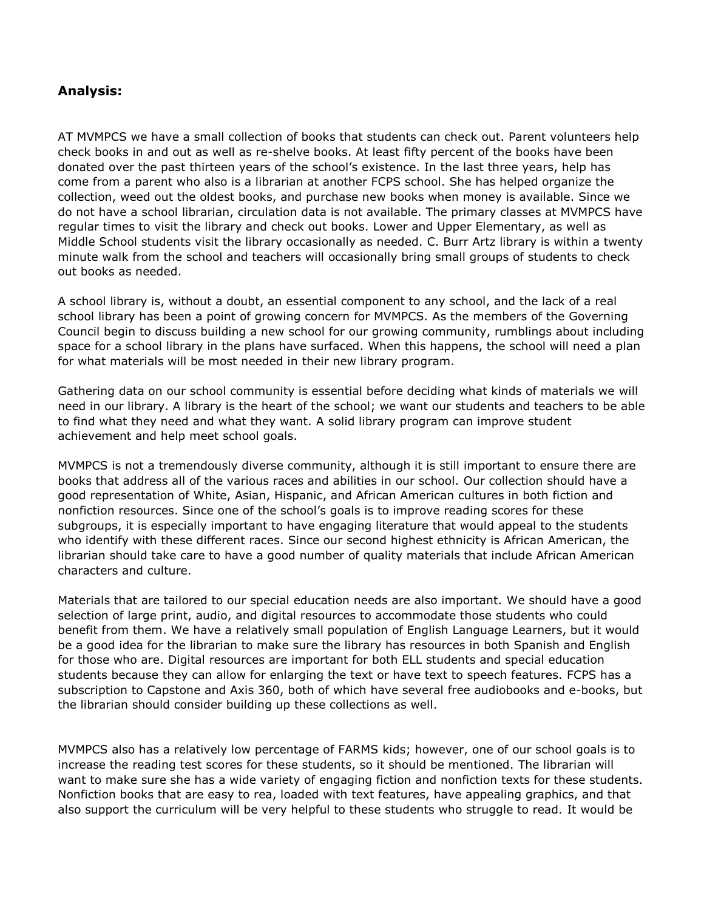## **Analysis:**

AT MVMPCS we have a small collection of books that students can check out. Parent volunteers help check books in and out as well as re-shelve books. At least fifty percent of the books have been donated over the past thirteen years of the school's existence. In the last three years, help has come from a parent who also is a librarian at another FCPS school. She has helped organize the collection, weed out the oldest books, and purchase new books when money is available. Since we do not have a school librarian, circulation data is not available. The primary classes at MVMPCS have regular times to visit the library and check out books. Lower and Upper Elementary, as well as Middle School students visit the library occasionally as needed. C. Burr Artz library is within a twenty minute walk from the school and teachers will occasionally bring small groups of students to check out books as needed.

A school library is, without a doubt, an essential component to any school, and the lack of a real school library has been a point of growing concern for MVMPCS. As the members of the Governing Council begin to discuss building a new school for our growing community, rumblings about including space for a school library in the plans have surfaced. When this happens, the school will need a plan for what materials will be most needed in their new library program.

Gathering data on our school community is essential before deciding what kinds of materials we will need in our library. A library is the heart of the school; we want our students and teachers to be able to find what they need and what they want. A solid library program can improve student achievement and help meet school goals.

MVMPCS is not a tremendously diverse community, although it is still important to ensure there are books that address all of the various races and abilities in our school. Our collection should have a good representation of White, Asian, Hispanic, and African American cultures in both fiction and nonfiction resources. Since one of the school's goals is to improve reading scores for these subgroups, it is especially important to have engaging literature that would appeal to the students who identify with these different races. Since our second highest ethnicity is African American, the librarian should take care to have a good number of quality materials that include African American characters and culture.

Materials that are tailored to our special education needs are also important. We should have a good selection of large print, audio, and digital resources to accommodate those students who could benefit from them. We have a relatively small population of English Language Learners, but it would be a good idea for the librarian to make sure the library has resources in both Spanish and English for those who are. Digital resources are important for both ELL students and special education students because they can allow for enlarging the text or have text to speech features. FCPS has a subscription to Capstone and Axis 360, both of which have several free audiobooks and e-books, but the librarian should consider building up these collections as well.

MVMPCS also has a relatively low percentage of FARMS kids; however, one of our school goals is to increase the reading test scores for these students, so it should be mentioned. The librarian will want to make sure she has a wide variety of engaging fiction and nonfiction texts for these students. Nonfiction books that are easy to rea, loaded with text features, have appealing graphics, and that also support the curriculum will be very helpful to these students who struggle to read. It would be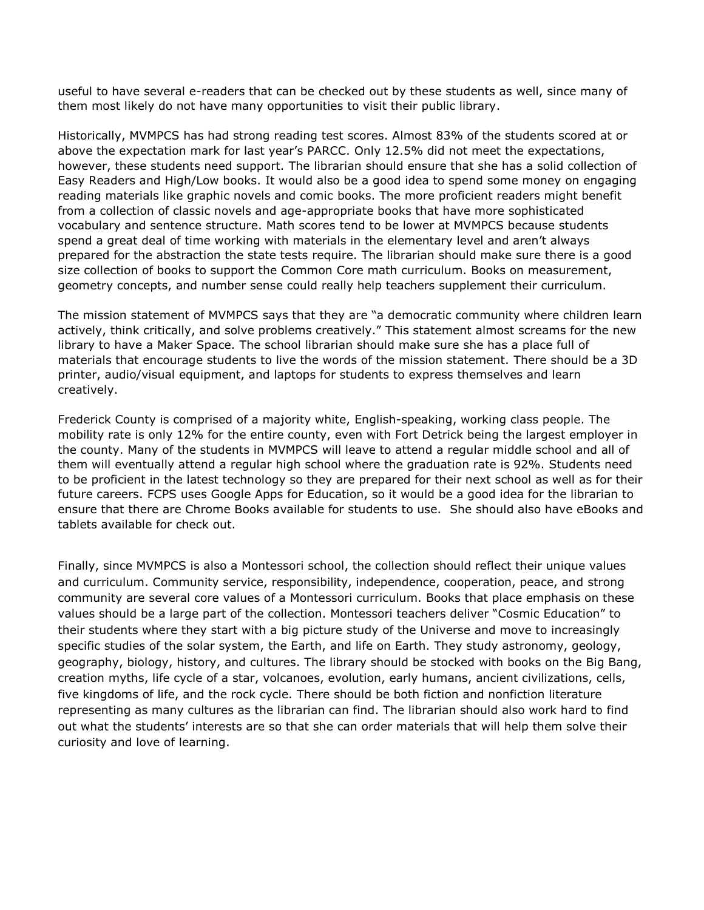useful to have several e-readers that can be checked out by these students as well, since many of them most likely do not have many opportunities to visit their public library.

Historically, MVMPCS has had strong reading test scores. Almost 83% of the students scored at or above the expectation mark for last year's PARCC. Only 12.5% did not meet the expectations, however, these students need support. The librarian should ensure that she has a solid collection of Easy Readers and High/Low books. It would also be a good idea to spend some money on engaging reading materials like graphic novels and comic books. The more proficient readers might benefit from a collection of classic novels and age-appropriate books that have more sophisticated vocabulary and sentence structure. Math scores tend to be lower at MVMPCS because students spend a great deal of time working with materials in the elementary level and aren't always prepared for the abstraction the state tests require. The librarian should make sure there is a good size collection of books to support the Common Core math curriculum. Books on measurement, geometry concepts, and number sense could really help teachers supplement their curriculum.

The mission statement of MVMPCS says that they are "a democratic community where children learn actively, think critically, and solve problems creatively." This statement almost screams for the new library to have a Maker Space. The school librarian should make sure she has a place full of materials that encourage students to live the words of the mission statement. There should be a 3D printer, audio/visual equipment, and laptops for students to express themselves and learn creatively.

Frederick County is comprised of a majority white, English-speaking, working class people. The mobility rate is only 12% for the entire county, even with Fort Detrick being the largest employer in the county. Many of the students in MVMPCS will leave to attend a regular middle school and all of them will eventually attend a regular high school where the graduation rate is 92%. Students need to be proficient in the latest technology so they are prepared for their next school as well as for their future careers. FCPS uses Google Apps for Education, so it would be a good idea for the librarian to ensure that there are Chrome Books available for students to use. She should also have eBooks and tablets available for check out.

Finally, since MVMPCS is also a Montessori school, the collection should reflect their unique values and curriculum. Community service, responsibility, independence, cooperation, peace, and strong community are several core values of a Montessori curriculum. Books that place emphasis on these values should be a large part of the collection. Montessori teachers deliver "Cosmic Education" to their students where they start with a big picture study of the Universe and move to increasingly specific studies of the solar system, the Earth, and life on Earth. They study astronomy, geology, geography, biology, history, and cultures. The library should be stocked with books on the Big Bang, creation myths, life cycle of a star, volcanoes, evolution, early humans, ancient civilizations, cells, five kingdoms of life, and the rock cycle. There should be both fiction and nonfiction literature representing as many cultures as the librarian can find. The librarian should also work hard to find out what the students' interests are so that she can order materials that will help them solve their curiosity and love of learning.